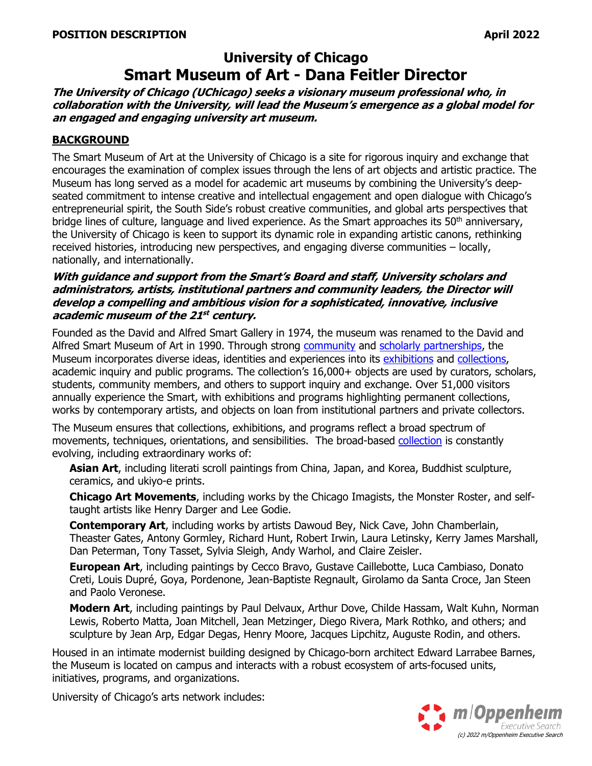# **University of Chicago Smart Museum of Art - Dana Feitler Director**

**The University of Chicago (UChicago) seeks a visionary museum professional who, in collaboration with the University, will lead the Museum's emergence as a global model for an engaged and engaging university art museum.**

### **BACKGROUND**

The Smart Museum of Art at the University of Chicago is a site for rigorous inquiry and exchange that encourages the examination of complex issues through the lens of art objects and artistic practice. The Museum has long served as a model for academic art museums by combining the University's deepseated commitment to intense creative and intellectual engagement and open dialogue with Chicago's entrepreneurial spirit, the South Side's robust creative communities, and global arts perspectives that bridge lines of culture, language and lived experience. As the Smart approaches its  $50<sup>th</sup>$  anniversary, the University of Chicago is keen to support its dynamic role in expanding artistic canons, rethinking received histories, introducing new perspectives, and engaging diverse communities – locally, nationally, and internationally.

#### **With guidance and support from the Smart's Board and staff, University scholars and administrators, artists, institutional partners and community leaders, the Director will develop a compelling and ambitious vision for <sup>a</sup> sophisticated, innovative, inclusive academic museum of the 21 st century.**

Founded as the David and Alfred Smart Gallery in 1974, the museum was renamed to the David and Alfred Smart Museum of Art in 1990. Through strong [community](https://smartmuseum.uchicago.edu/public-practice/) and [scholarly partnerships,](https://smartmuseum.uchicago.edu/feitler-center-for-academic-inquiry/) the Museum incorporates diverse ideas, identities and experiences into its [exhibitions](https://smartmuseum.uchicago.edu/exhibitions/) and [collections,](http://smartcollection.uchicago.edu/) academic inquiry and public programs. The collection's 16,000+ objects are used by curators, scholars, students, community members, and others to support inquiry and exchange. Over 51,000 visitors annually experience the Smart, with exhibitions and programs highlighting permanent collections, works by contemporary artists, and objects on loan from institutional partners and private collectors.

The Museum ensures that collections, exhibitions, and programs reflect a broad spectrum of movements, techniques, orientations, and sensibilities. The broad-based [collection](https://smartcollection.uchicago.edu/collections) is constantly evolving, including extraordinary works of:

**Asian Art**, including literati scroll paintings from China, Japan, and Korea, Buddhist sculpture, ceramics, and ukiyo-e prints.

**Chicago Art Movements**, including works by the Chicago Imagists, the Monster Roster, and selftaught artists like Henry Darger and Lee Godie.

**Contemporary Art**, including works by artists Dawoud Bey, Nick Cave, John Chamberlain, Theaster Gates, Antony Gormley, Richard Hunt, Robert Irwin, Laura Letinsky, Kerry James Marshall, Dan Peterman, Tony Tasset, Sylvia Sleigh, Andy Warhol, and Claire Zeisler.

**European Art**, including paintings by Cecco Bravo, Gustave Caillebotte, Luca Cambiaso, Donato Creti, Louis Dupré, Goya, Pordenone, Jean-Baptiste Regnault, Girolamo da Santa Croce, Jan Steen and Paolo Veronese.

**Modern Art**, including paintings by Paul Delvaux, Arthur Dove, Childe Hassam, Walt Kuhn, Norman Lewis, Roberto Matta, Joan Mitchell, Jean Metzinger, Diego Rivera, Mark Rothko, and others; and sculpture by Jean Arp, Edgar Degas, Henry Moore, Jacques Lipchitz, Auguste Rodin, and others.

Housed in an intimate modernist building designed by Chicago-born architect Edward Larrabee Barnes, the Museum is located on campus and interacts with a robust ecosystem of arts-focused units, initiatives, programs, and organizations.

University of Chicago's arts network includes:

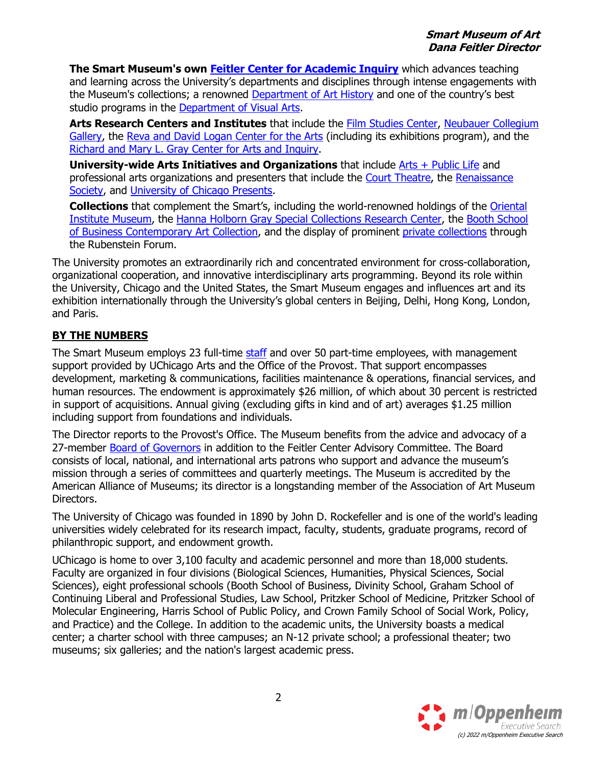**The Smart Museum's own [Feitler Center for Academic Inquiry](https://smartmuseum.uchicago.edu/feitler-center-for-academic-inquiry/)** which advances teaching and learning across the University's departments and disciplines through intense engagements with the Museum's collections; a renowned [Department of](https://arthistory.uchicago.edu/) Art History and one of the country's best studio programs in the [Department of Visual Arts.](https://dova.uchicago.edu/)

**Arts Research Centers and Institutes** that include the [Film Studies Center,](https://filmstudiescenter.uchicago.edu/) [Neubauer Collegium](https://www.neubauercollegiumgallery.com/)  [Gallery,](https://www.neubauercollegiumgallery.com/) the [Reva and David Logan Center for the Arts](https://arts.uchicago.edu/explore/reva-and-david-logan-center-arts) (including its exhibitions program), and the [Richard and Mary L. Gray Center for Arts and Inquiry.](https://graycenter.uchicago.edu/)

**University-wide Arts Initiatives and Organizations** that include [Arts + Public Life](https://artsandpubliclife.org/) and professional arts organizations and presenters that include the [Court Theatre,](https://www.courttheatre.org/) the [Renaissance](https://renaissancesociety.org/)  [Society,](https://renaissancesociety.org/) and [University of Chicago Presents.](https://chicagopresents.uchicago.edu/)

**Collections** that complement the Smart's, including the world-renowned holdings of the [Oriental](https://oi.uchicago.edu/museum-exhibits)  [Institute Museum,](https://oi.uchicago.edu/museum-exhibits) the [Hanna Holborn Gray Special Collections Research Center,](https://www.lib.uchicago.edu/scrc/) the [Booth School](http://art.chicagobooth.edu/index.php?q=artists)  [of Business Contemporary Art Collection,](http://art.chicagobooth.edu/index.php?q=artists) and the display of prominent [private collections](https://davidrubensteinforum.uchicago.edu/artatthedavidrubensteinforum/) through the Rubenstein Forum.

The University promotes an extraordinarily rich and concentrated environment for cross-collaboration, organizational cooperation, and innovative interdisciplinary arts programming. Beyond its role within the University, Chicago and the United States, the Smart Museum engages and influences art and its exhibition internationally through the University's global centers in Beijing, Delhi, Hong Kong, London, and Paris.

## **BY THE NUMBERS**

The Smart Museum employs 23 full-time [staff](https://smartmuseum.uchicago.edu/about/staff/) and over 50 part-time employees, with management support provided by UChicago Arts and the Office of the Provost. That support encompasses development, marketing & communications, facilities maintenance & operations, financial services, and human resources. The endowment is approximately \$26 million, of which about 30 percent is restricted in support of acquisitions. Annual giving (excluding gifts in kind and of art) averages \$1.25 million including support from foundations and individuals.

The Director reports to the Provost's Office. The Museum benefits from the advice and advocacy of a 27-member [Board of Governors](https://smartmuseum.uchicago.edu/about/board/) in addition to the Feitler Center Advisory Committee. The Board consists of local, national, and international arts patrons who support and advance the museum's mission through a series of committees and quarterly meetings. The Museum is accredited by the American Alliance of Museums; its director is a longstanding member of the Association of Art Museum Directors.

The University of Chicago was founded in 1890 by John D. Rockefeller and is one of the world's leading universities widely celebrated for its research impact, faculty, students, graduate programs, record of philanthropic support, and endowment growth.

UChicago is home to over 3,100 faculty and academic personnel and more than 18,000 students. Faculty are organized in four divisions (Biological Sciences, Humanities, Physical Sciences, Social Sciences), eight professional schools (Booth School of Business, Divinity School, Graham School of Continuing Liberal and Professional Studies, Law School, Pritzker School of Medicine, Pritzker School of Molecular Engineering, Harris School of Public Policy, and Crown Family School of Social Work, Policy, and Practice) and the College. In addition to the academic units, the University boasts a medical center; a charter school with three campuses; an N-12 private school; a professional theater; two museums; six galleries; and the nation's largest academic press.

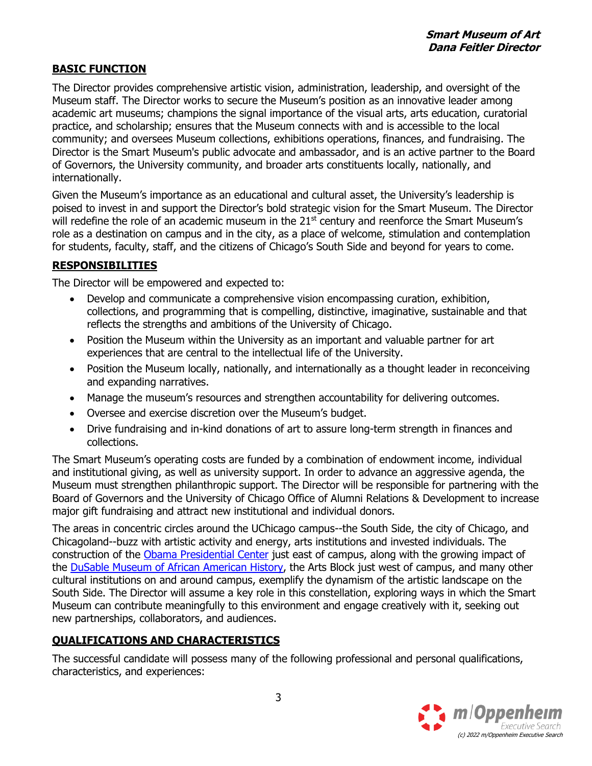## **BASIC FUNCTION**

The Director provides comprehensive artistic vision, administration, leadership, and oversight of the Museum staff. The Director works to secure the Museum's position as an innovative leader among academic art museums; champions the signal importance of the visual arts, arts education, curatorial practice, and scholarship; ensures that the Museum connects with and is accessible to the local community; and oversees Museum collections, exhibitions operations, finances, and fundraising. The Director is the Smart Museum's public advocate and ambassador, and is an active partner to the Board of Governors, the University community, and broader arts constituents locally, nationally, and internationally.

Given the Museum's importance as an educational and cultural asset, the University's leadership is poised to invest in and support the Director's bold strategic vision for the Smart Museum. The Director will redefine the role of an academic museum in the 21<sup>st</sup> century and reenforce the Smart Museum's role as a destination on campus and in the city, as a place of welcome, stimulation and contemplation for students, faculty, staff, and the citizens of Chicago's South Side and beyond for years to come.

## **RESPONSIBILITIES**

The Director will be empowered and expected to:

- Develop and communicate a comprehensive vision encompassing curation, exhibition, collections, and programming that is compelling, distinctive, imaginative, sustainable and that reflects the strengths and ambitions of the University of Chicago.
- Position the Museum within the University as an important and valuable partner for art experiences that are central to the intellectual life of the University.
- Position the Museum locally, nationally, and internationally as a thought leader in reconceiving and expanding narratives.
- Manage the museum's resources and strengthen accountability for delivering outcomes.
- Oversee and exercise discretion over the Museum's budget.
- Drive fundraising and in-kind donations of art to assure long-term strength in finances and collections.

The Smart Museum's operating costs are funded by a combination of endowment income, individual and institutional giving, as well as university support. In order to advance an aggressive agenda, the Museum must strengthen philanthropic support. The Director will be responsible for partnering with the Board of Governors and the University of Chicago Office of Alumni Relations & Development to increase major gift fundraising and attract new institutional and individual donors.

The areas in concentric circles around the UChicago campus--the South Side, the city of Chicago, and Chicagoland--buzz with artistic activity and energy, arts institutions and invested individuals. The construction of the [Obama Presidential Center](https://www.obama.org/the-center/) just east of campus, along with the growing impact of the [DuSable Museum of African American History,](https://www.dusablemuseum.org/) the Arts Block just west of campus, and many other cultural institutions on and around campus, exemplify the dynamism of the artistic landscape on the South Side. The Director will assume a key role in this constellation, exploring ways in which the Smart Museum can contribute meaningfully to this environment and engage creatively with it, seeking out new partnerships, collaborators, and audiences.

## **QUALIFICATIONS AND CHARACTERISTICS**

The successful candidate will possess many of the following professional and personal qualifications, characteristics, and experiences: